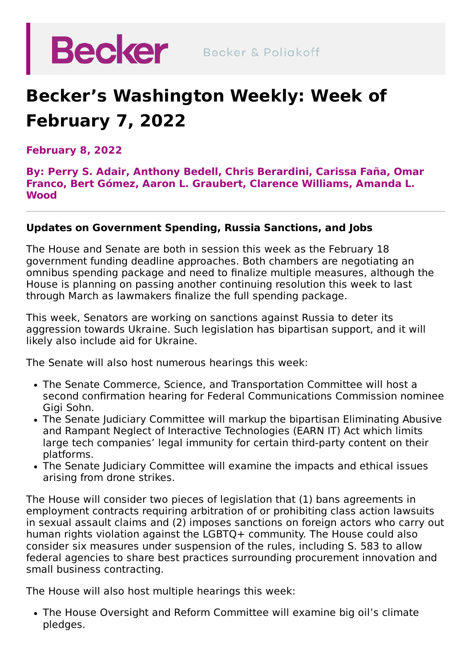

## **Becker's Washington Weekly: Week of February 7, 2022**

**February 8, 2022**

**By: [Perry](https://beckerlawyers.com/professionals/perry-s-adair/) S. Adair, [Anthony](https://beckerlawyers.com/professionals/anthony-bedell/) Bedell, Chris [Berardini](https://beckerlawyers.com/professionals/chris-berardini/)[,](https://beckerlawyers.com/professionals/omar-franco/) [Carissa](https://beckerlawyers.com/professionals/carissa-fana/) Faña, Omar Franco, Bert [Gómez,](https://beckerlawyers.com/professionals/bert-gomez/) Aaron L. [Graubert,](https://beckerlawyers.com/professionals/amanda-l-wood/) [Clarence](https://beckerlawyers.com/professionals/clarence-williams/) Williams, Amanda L. Wood**

## **Updates on Government Spending, Russia Sanctions, and Jobs**

The House and Senate are both in session this week as the February 18 government funding deadline approaches. Both chambers are negotiating an omnibus spending package and need to finalize multiple measures, although the House is planning on passing another continuing resolution this week to last through March as lawmakers finalize the full spending package.

This week, Senators are working on sanctions against Russia to deter its aggression towards Ukraine. Such legislation has bipartisan support, and it will likely also include aid for Ukraine.

The Senate will also host numerous hearings this week:

- The Senate Commerce, Science, and Transportation Committee will host a second confirmation hearing for Federal Communications Commission nominee Gigi Sohn.
- The Senate Judiciary Committee will markup the bipartisan Eliminating Abusive and Rampant Neglect of Interactive Technologies (EARN IT) Act which limits large tech companies' legal immunity for certain third-party content on their platforms.
- The Senate Judiciary Committee will examine the impacts and ethical issues arising from drone strikes.

The House will consider two pieces of legislation that (1) bans agreements in employment contracts requiring arbitration of or prohibiting class action lawsuits in sexual assault claims and (2) imposes sanctions on foreign actors who carry out human rights violation against the LGBTQ+ community. The House could also consider six measures under suspension of the rules, including S. 583 to allow federal agencies to share best practices surrounding procurement innovation and small business contracting.

The House will also host multiple hearings this week:

The House Oversight and Reform Committee will examine big oil's climate pledges.